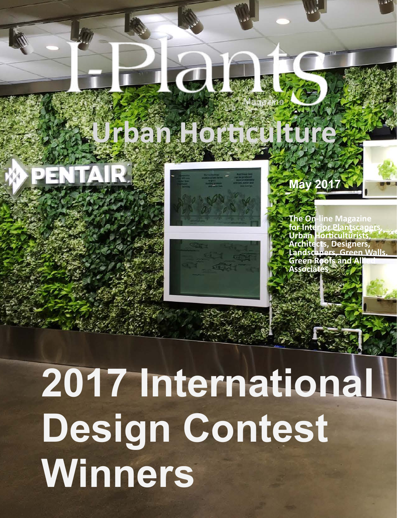## **Urban Horticulture**

**ICumat** 







**The On-line Magazine for Interior Plantscapers, Urban Horticulturists, Architects, Designers, Landscapers, Green Walls, Green Roofs and A Associat** 

# **2017 International Design Contest Winners**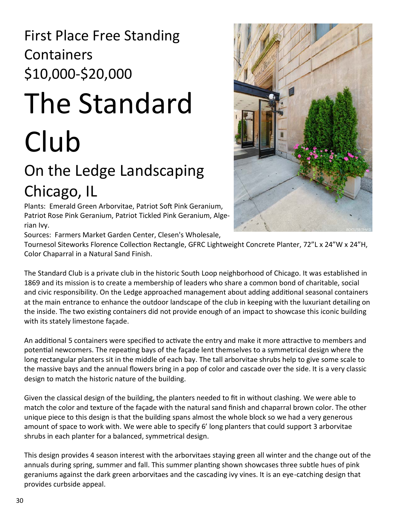#### First Place Free Standing **Containers** \$10,000-\$20,000

## The Standard Club

### On the Ledge Landscaping Chicago, IL

Plants: Emerald Green Arborvitae, Patriot Soft Pink Geranium, Patriot Rose Pink Geranium, Patriot Tickled Pink Geranium, Algerian Ivy.

Sources: Farmers Market Garden Center, Clesen's Wholesale,

Tournesol Siteworks Florence Collection Rectangle, GFRC Lightweight Concrete Planter, 72"L x 24"W x 24"H, Color Chaparral in a Natural Sand Finish.

The Standard Club is a private club in the historic South Loop neighborhood of Chicago. It was established in 1869 and its mission is to create a membership of leaders who share a common bond of charitable, social and civic responsibility. On the Ledge approached management about adding additional seasonal containers at the main entrance to enhance the outdoor landscape of the club in keeping with the luxuriant detailing on the inside. The two existing containers did not provide enough of an impact to showcase this iconic building with its stately limestone façade.

An additional 5 containers were specified to activate the entry and make it more attractive to members and potential newcomers. The repeating bays of the façade lent themselves to a symmetrical design where the long rectangular planters sit in the middle of each bay. The tall arborvitae shrubs help to give some scale to the massive bays and the annual flowers bring in a pop of color and cascade over the side. It is a very classic design to match the historic nature of the building.

Given the classical design of the building, the planters needed to fit in without clashing. We were able to match the color and texture of the façade with the natural sand finish and chaparral brown color. The other unique piece to this design is that the building spans almost the whole block so we had a very generous amount of space to work with. We were able to specify 6' long planters that could support 3 arborvitae shrubs in each planter for a balanced, symmetrical design.

This design provides 4 season interest with the arborvitaes staying green all winter and the change out of the annuals during spring, summer and fall. This summer planting shown showcases three subtle hues of pink geraniums against the dark green arborvitaes and the cascading ivy vines. It is an eye-catching design that provides curbside appeal.